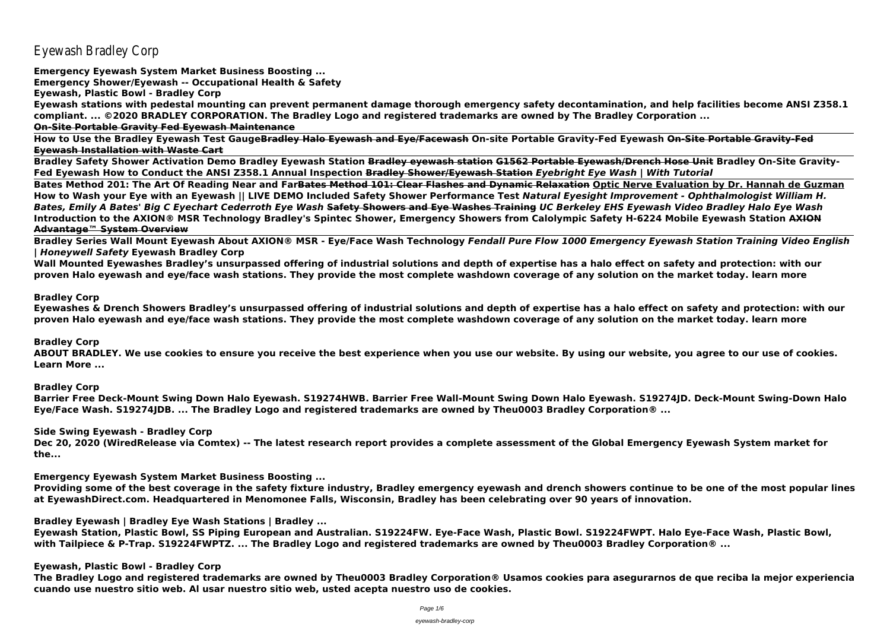Eyewash Bradley Corp

**Emergency Eyewash System Market Business Boosting ...**

**Emergency Shower/Eyewash -- Occupational Health & Safety**

**Eyewash, Plastic Bowl - Bradley Corp**

**Eyewash stations with pedestal mounting can prevent permanent damage thorough emergency safety decontamination, and help facilities become ANSI Z358.1 compliant. ... ©2020 BRADLEY CORPORATION. The Bradley Logo and registered trademarks are owned by The Bradley Corporation ... On-Site Portable Gravity Fed Eyewash Maintenance**

**How to Use the Bradley Eyewash Test GaugeBradley Halo Eyewash and Eye/Facewash On-site Portable Gravity-Fed Eyewash On-Site Portable Gravity-Fed Eyewash Installation with Waste Cart**

**Bradley Safety Shower Activation Demo Bradley Eyewash Station Bradley eyewash station G1562 Portable Eyewash/Drench Hose Unit Bradley On-Site Gravity-Fed Eyewash How to Conduct the ANSI Z358.1 Annual Inspection Bradley Shower/Eyewash Station** *Eyebright Eye Wash | With Tutorial* **Bates Method 201: The Art Of Reading Near and FarBates Method 101: Clear Flashes and Dynamic Relaxation Optic Nerve Evaluation by Dr. Hannah de Guzman How to Wash your Eye with an Eyewash || LIVE DEMO Included Safety Shower Performance Test** *Natural Eyesight Improvement - Ophthalmologist William H. Bates, Emily A Bates' Big C Eyechart Cederroth Eye Wash* **Safety Showers and Eye Washes Training** *UC Berkeley EHS Eyewash Video Bradley Halo Eye Wash* **Introduction to the AXION® MSR Technology Bradley's Spintec Shower, Emergency Showers from Calolympic Safety H-6224 Mobile Eyewash Station AXION Advantage™ System Overview**

**Bradley Series Wall Mount Eyewash About AXION® MSR - Eye/Face Wash Technology** *Fendall Pure Flow 1000 Emergency Eyewash Station Training Video English | Honeywell Safety* **Eyewash Bradley Corp**

**Wall Mounted Eyewashes Bradley's unsurpassed offering of industrial solutions and depth of expertise has a halo effect on safety and protection: with our proven Halo eyewash and eye/face wash stations. They provide the most complete washdown coverage of any solution on the market today. learn more**

#### **Bradley Corp**

**Eyewashes & Drench Showers Bradley's unsurpassed offering of industrial solutions and depth of expertise has a halo effect on safety and protection: with our proven Halo eyewash and eye/face wash stations. They provide the most complete washdown coverage of any solution on the market today. learn more**

#### **Bradley Corp**

**ABOUT BRADLEY. We use cookies to ensure you receive the best experience when you use our website. By using our website, you agree to our use of cookies. Learn More ...**

**Bradley Corp**

**Barrier Free Deck-Mount Swing Down Halo Eyewash. S19274HWB. Barrier Free Wall-Mount Swing Down Halo Eyewash. S19274JD. Deck-Mount Swing-Down Halo Eye/Face Wash. S19274JDB. ... The Bradley Logo and registered trademarks are owned by Theu0003 Bradley Corporation® ...**

#### **Side Swing Eyewash - Bradley Corp**

**Dec 20, 2020 (WiredRelease via Comtex) -- The latest research report provides a complete assessment of the Global Emergency Eyewash System market for the...**

**Emergency Eyewash System Market Business Boosting ...**

**Providing some of the best coverage in the safety fixture industry, Bradley emergency eyewash and drench showers continue to be one of the most popular lines at EyewashDirect.com. Headquartered in Menomonee Falls, Wisconsin, Bradley has been celebrating over 90 years of innovation.**

**Bradley Eyewash | Bradley Eye Wash Stations | Bradley ...**

**Eyewash Station, Plastic Bowl, SS Piping European and Australian. S19224FW. Eye-Face Wash, Plastic Bowl. S19224FWPT. Halo Eye-Face Wash, Plastic Bowl, with Tailpiece & P-Trap. S19224FWPTZ. ... The Bradley Logo and registered trademarks are owned by Theu0003 Bradley Corporation® ...**

#### **Eyewash, Plastic Bowl - Bradley Corp**

**The Bradley Logo and registered trademarks are owned by Theu0003 Bradley Corporation® Usamos cookies para asegurarnos de que reciba la mejor experiencia cuando use nuestro sitio web. Al usar nuestro sitio web, usted acepta nuestro uso de cookies.**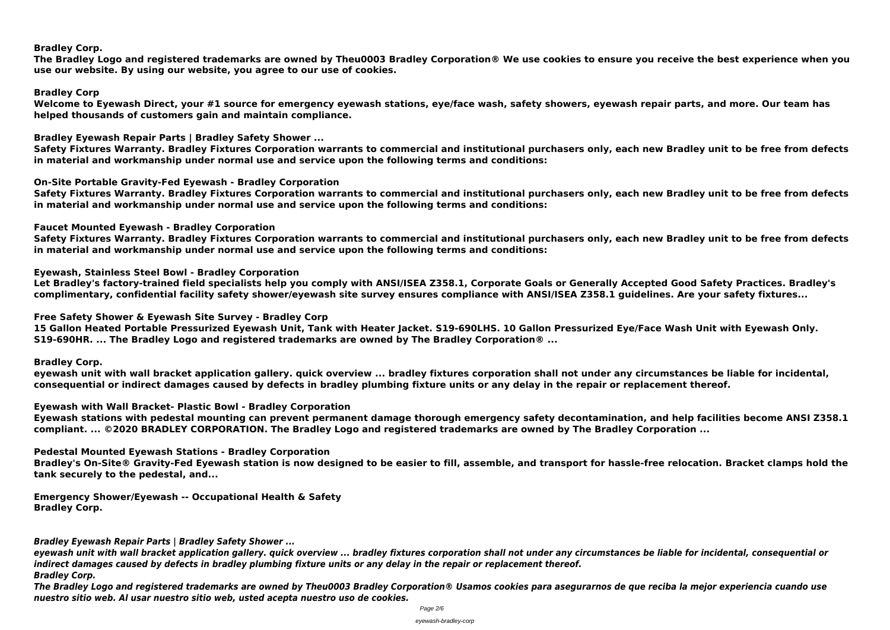## **Bradley Corp.**

**The Bradley Logo and registered trademarks are owned by Theu0003 Bradley Corporation® We use cookies to ensure you receive the best experience when you use our website. By using our website, you agree to our use of cookies.**

**Bradley Corp**

**Welcome to Eyewash Direct, your #1 source for emergency eyewash stations, eye/face wash, safety showers, eyewash repair parts, and more. Our team has helped thousands of customers gain and maintain compliance.**

**Bradley Eyewash Repair Parts | Bradley Safety Shower ...**

**Safety Fixtures Warranty. Bradley Fixtures Corporation warrants to commercial and institutional purchasers only, each new Bradley unit to be free from defects in material and workmanship under normal use and service upon the following terms and conditions:**

**On-Site Portable Gravity-Fed Eyewash - Bradley Corporation**

**Safety Fixtures Warranty. Bradley Fixtures Corporation warrants to commercial and institutional purchasers only, each new Bradley unit to be free from defects in material and workmanship under normal use and service upon the following terms and conditions:**

**Faucet Mounted Eyewash - Bradley Corporation**

**Safety Fixtures Warranty. Bradley Fixtures Corporation warrants to commercial and institutional purchasers only, each new Bradley unit to be free from defects in material and workmanship under normal use and service upon the following terms and conditions:**

**Eyewash, Stainless Steel Bowl - Bradley Corporation**

**Let Bradley's factory-trained field specialists help you comply with ANSI/ISEA Z358.1, Corporate Goals or Generally Accepted Good Safety Practices. Bradley's complimentary, confidential facility safety shower/eyewash site survey ensures compliance with ANSI/ISEA Z358.1 guidelines. Are your safety fixtures...**

**Free Safety Shower & Eyewash Site Survey - Bradley Corp**

**15 Gallon Heated Portable Pressurized Eyewash Unit, Tank with Heater Jacket. S19-690LHS. 10 Gallon Pressurized Eye/Face Wash Unit with Eyewash Only. S19-690HR. ... The Bradley Logo and registered trademarks are owned by The Bradley Corporation® ...**

**Bradley Corp.**

**eyewash unit with wall bracket application gallery. quick overview ... bradley fixtures corporation shall not under any circumstances be liable for incidental, consequential or indirect damages caused by defects in bradley plumbing fixture units or any delay in the repair or replacement thereof.**

**Eyewash with Wall Bracket- Plastic Bowl - Bradley Corporation**

**Eyewash stations with pedestal mounting can prevent permanent damage thorough emergency safety decontamination, and help facilities become ANSI Z358.1 compliant. ... ©2020 BRADLEY CORPORATION. The Bradley Logo and registered trademarks are owned by The Bradley Corporation ...**

**Pedestal Mounted Eyewash Stations - Bradley Corporation**

**Bradley's On-Site® Gravity-Fed Eyewash station is now designed to be easier to fill, assemble, and transport for hassle-free relocation. Bracket clamps hold the tank securely to the pedestal, and...**

**Emergency Shower/Eyewash -- Occupational Health & Safety Bradley Corp.**

*Bradley Eyewash Repair Parts | Bradley Safety Shower ...*

*eyewash unit with wall bracket application gallery. quick overview ... bradley fixtures corporation shall not under any circumstances be liable for incidental, consequential or indirect damages caused by defects in bradley plumbing fixture units or any delay in the repair or replacement thereof. Bradley Corp.*

*The Bradley Logo and registered trademarks are owned by Theu0003 Bradley Corporation® Usamos cookies para asegurarnos de que reciba la mejor experiencia cuando use nuestro sitio web. Al usar nuestro sitio web, usted acepta nuestro uso de cookies.*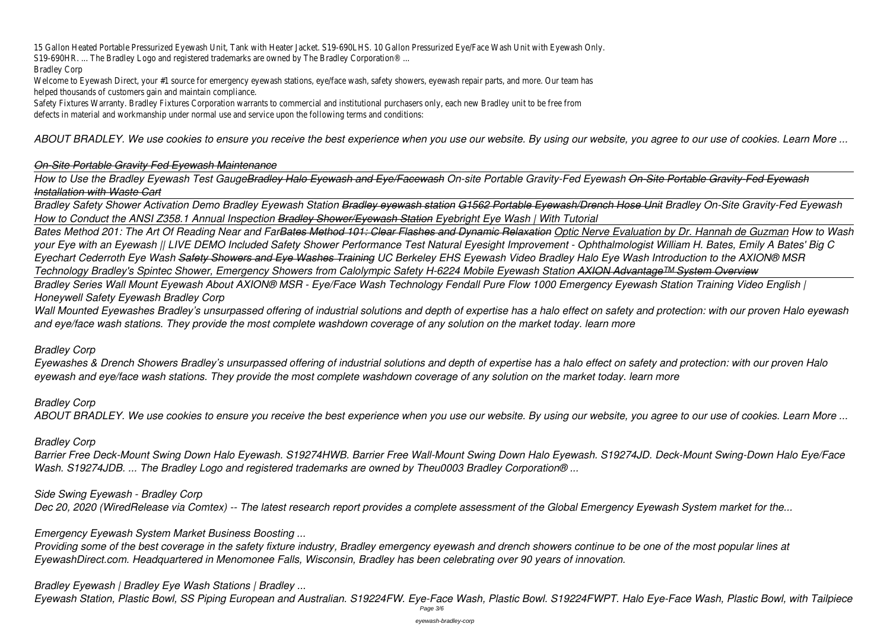Welcome to Eyewash Direct, your #1 source for emergency eyewash stations, eye/face wash, safety showers, eyewash repair parts, and more. Our team has helped thousands of customers gain and maintain compliance.

15 Gallon Heated Portable Pressurized Eyewash Unit, Tank with Heater Jacket. S19-690LHS. 10 Gallon Pressurized Eye/Face Wash Unit with Eyewash Only. S19-690HR. ... The Bradley Logo and registered trademarks are owned by The Bradley Corporation® ...

#### Bradley Corp

Safety Fixtures Warranty. Bradley Fixtures Corporation warrants to commercial and institutional purchasers only, each new Bradley unit to be free from defects in material and workmanship under normal use and service upon the following terms and conditions:

*ABOUT BRADLEY. We use cookies to ensure you receive the best experience when you use our website. By using our website, you agree to our use of cookies. Learn More ...*

## *On-Site Portable Gravity Fed Eyewash Maintenance*

*How to Use the Bradley Eyewash Test GaugeBradley Halo Eyewash and Eye/Facewash On-site Portable Gravity-Fed Eyewash On-Site Portable Gravity-Fed Eyewash Installation with Waste Cart*

*Bradley Safety Shower Activation Demo Bradley Eyewash Station Bradley eyewash station G1562 Portable Eyewash/Drench Hose Unit Bradley On-Site Gravity-Fed Eyewash How to Conduct the ANSI Z358.1 Annual Inspection Bradley Shower/Eyewash Station Eyebright Eye Wash | With Tutorial*

*Bates Method 201: The Art Of Reading Near and FarBates Method 101: Clear Flashes and Dynamic Relaxation Optic Nerve Evaluation by Dr. Hannah de Guzman How to Wash your Eye with an Eyewash || LIVE DEMO Included Safety Shower Performance Test Natural Eyesight Improvement - Ophthalmologist William H. Bates, Emily A Bates' Big C Eyechart Cederroth Eye Wash Safety Showers and Eye Washes Training UC Berkeley EHS Eyewash Video Bradley Halo Eye Wash Introduction to the AXION® MSR Technology Bradley's Spintec Shower, Emergency Showers from Calolympic Safety H-6224 Mobile Eyewash Station AXION Advantage™ System Overview Bradley Series Wall Mount Eyewash About AXION® MSR - Eye/Face Wash Technology Fendall Pure Flow 1000 Emergency Eyewash Station Training Video English | Honeywell Safety Eyewash Bradley Corp*

*Wall Mounted Eyewashes Bradley's unsurpassed offering of industrial solutions and depth of expertise has a halo effect on safety and protection: with our proven Halo eyewash and eye/face wash stations. They provide the most complete washdown coverage of any solution on the market today. learn more*

*Bradley Corp*

*Eyewashes & Drench Showers Bradley's unsurpassed offering of industrial solutions and depth of expertise has a halo effect on safety and protection: with our proven Halo eyewash and eye/face wash stations. They provide the most complete washdown coverage of any solution on the market today. learn more*

*Bradley Corp*

*ABOUT BRADLEY. We use cookies to ensure you receive the best experience when you use our website. By using our website, you agree to our use of cookies. Learn More ...*

# *Bradley Corp*

*Barrier Free Deck-Mount Swing Down Halo Eyewash. S19274HWB. Barrier Free Wall-Mount Swing Down Halo Eyewash. S19274JD. Deck-Mount Swing-Down Halo Eye/Face Wash. S19274JDB. ... The Bradley Logo and registered trademarks are owned by Theu0003 Bradley Corporation® ...*

*Side Swing Eyewash - Bradley Corp Dec 20, 2020 (WiredRelease via Comtex) -- The latest research report provides a complete assessment of the Global Emergency Eyewash System market for the...*

*Emergency Eyewash System Market Business Boosting ...*

*Providing some of the best coverage in the safety fixture industry, Bradley emergency eyewash and drench showers continue to be one of the most popular lines at EyewashDirect.com. Headquartered in Menomonee Falls, Wisconsin, Bradley has been celebrating over 90 years of innovation.*

*Bradley Eyewash | Bradley Eye Wash Stations | Bradley ...*

*Eyewash Station, Plastic Bowl, SS Piping European and Australian. S19224FW. Eye-Face Wash, Plastic Bowl. S19224FWPT. Halo Eye-Face Wash, Plastic Bowl, with Tailpiece* Page 3/6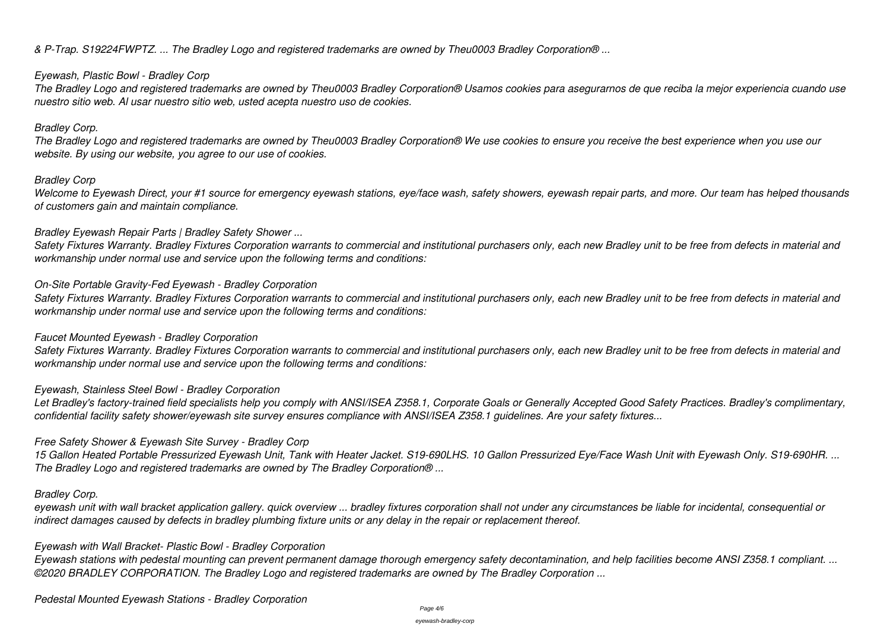*& P-Trap. S19224FWPTZ. ... The Bradley Logo and registered trademarks are owned by Theu0003 Bradley Corporation® ...*

## *Eyewash, Plastic Bowl - Bradley Corp*

*The Bradley Logo and registered trademarks are owned by Theu0003 Bradley Corporation® Usamos cookies para asegurarnos de que reciba la mejor experiencia cuando use nuestro sitio web. Al usar nuestro sitio web, usted acepta nuestro uso de cookies.*

## *Bradley Corp.*

*The Bradley Logo and registered trademarks are owned by Theu0003 Bradley Corporation® We use cookies to ensure you receive the best experience when you use our website. By using our website, you agree to our use of cookies.*

# *Bradley Corp*

*Welcome to Eyewash Direct, your #1 source for emergency eyewash stations, eye/face wash, safety showers, eyewash repair parts, and more. Our team has helped thousands of customers gain and maintain compliance.*

# *Bradley Eyewash Repair Parts | Bradley Safety Shower ...*

*Safety Fixtures Warranty. Bradley Fixtures Corporation warrants to commercial and institutional purchasers only, each new Bradley unit to be free from defects in material and workmanship under normal use and service upon the following terms and conditions:*

# *On-Site Portable Gravity-Fed Eyewash - Bradley Corporation*

*Safety Fixtures Warranty. Bradley Fixtures Corporation warrants to commercial and institutional purchasers only, each new Bradley unit to be free from defects in material and workmanship under normal use and service upon the following terms and conditions:*

# *Faucet Mounted Eyewash - Bradley Corporation*

*Safety Fixtures Warranty. Bradley Fixtures Corporation warrants to commercial and institutional purchasers only, each new Bradley unit to be free from defects in material and workmanship under normal use and service upon the following terms and conditions:*

# *Eyewash, Stainless Steel Bowl - Bradley Corporation*

*Let Bradley's factory-trained field specialists help you comply with ANSI/ISEA Z358.1, Corporate Goals or Generally Accepted Good Safety Practices. Bradley's complimentary, confidential facility safety shower/eyewash site survey ensures compliance with ANSI/ISEA Z358.1 guidelines. Are your safety fixtures...*

*Free Safety Shower & Eyewash Site Survey - Bradley Corp*

*15 Gallon Heated Portable Pressurized Eyewash Unit, Tank with Heater Jacket. S19-690LHS. 10 Gallon Pressurized Eye/Face Wash Unit with Eyewash Only. S19-690HR. ... The Bradley Logo and registered trademarks are owned by The Bradley Corporation® ...*

# *Bradley Corp.*

*eyewash unit with wall bracket application gallery. quick overview ... bradley fixtures corporation shall not under any circumstances be liable for incidental, consequential or indirect damages caused by defects in bradley plumbing fixture units or any delay in the repair or replacement thereof.*

# *Eyewash with Wall Bracket- Plastic Bowl - Bradley Corporation*

*Eyewash stations with pedestal mounting can prevent permanent damage thorough emergency safety decontamination, and help facilities become ANSI Z358.1 compliant. ... ©2020 BRADLEY CORPORATION. The Bradley Logo and registered trademarks are owned by The Bradley Corporation ...*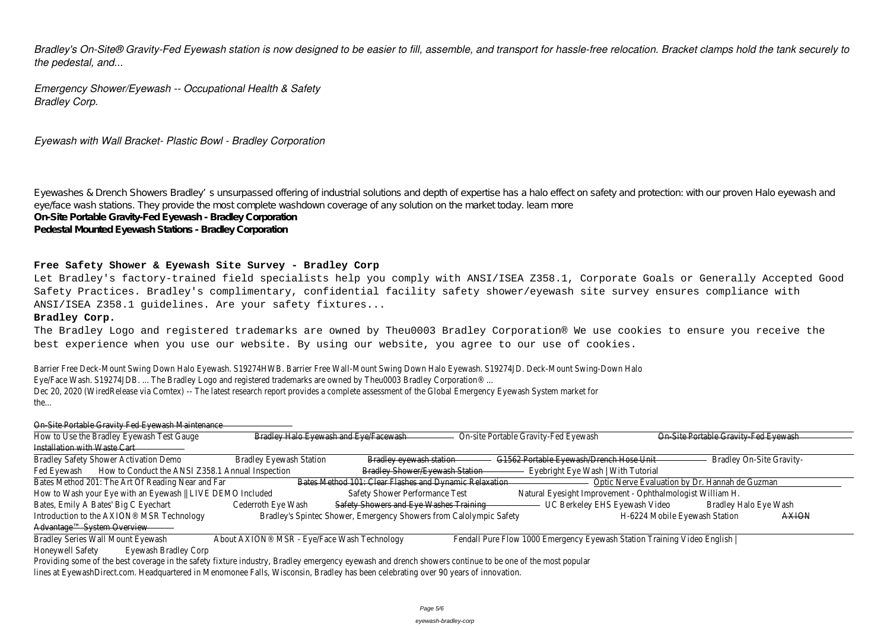*Bradley's On-Site® Gravity-Fed Eyewash station is now designed to be easier to fill, assemble, and transport for hassle-free relocation. Bracket clamps hold the tank securely to the pedestal, and...*

*Emergency Shower/Eyewash -- Occupational Health & Safety Bradley Corp.*

*Eyewash with Wall Bracket- Plastic Bowl - Bradley Corporation*

Eyewashes & Drench Showers Bradley's unsurpassed offering of industrial solutions and depth of expertise has a halo effect on safety and protection: with our proven Halo eyewash and eye/face wash stations. They provide the most complete washdown coverage of any solution on the market today. learn more **On-Site Portable Gravity-Fed Eyewash - Bradley Corporation Pedestal Mounted Eyewash Stations - Bradley Corporation**

#### **Free Safety Shower & Eyewash Site Survey - Bradley Corp**

Let Bradley's factory-trained field specialists help you comply with ANSI/ISEA Z358.1, Corporate Goals or Generally Accepted Good Safety Practices. Bradley's complimentary, confidential facility safety shower/eyewash site survey ensures compliance with ANSI/ISEA Z358.1 guidelines. Are your safety fixtures...

#### **Bradley Corp.**

The Bradley Logo and registered trademarks are owned by Theu0003 Bradley Corporation® We use cookies to ensure you receive the best experience when you use our website. By using our website, you agree to our use of cookies.

Barrier Free Deck-Mount Swing Down Halo Eyewash. S19274HWB. Barrier Free Wall-Mount Swing Down Halo Eyewash. S19274JD. Deck-Mount Swing-Down Halo Eye/Face Wash. S19274JDB. ... The Bradley Logo and registered trademarks are owned by Theu0003 Bradley Corporation® ... Dec 20, 2020 (WiredRelease via Comtex) -- The latest research report provides a complete assessment of the Global Emergency Eyewash System market for the...

| On Site Portable Gravity Fed Eyewash Maintenance                                                                                                        |                                |                                                                    |                                                                         |                                                |  |
|---------------------------------------------------------------------------------------------------------------------------------------------------------|--------------------------------|--------------------------------------------------------------------|-------------------------------------------------------------------------|------------------------------------------------|--|
| How to Use the Bradley Eyewash Test Gauge                                                                                                               |                                | Bradley Halo Eyewash and Eye/Facewash                              | On-site Portable Gravity-Fed Eyewash                                    | On Site Portable Gravity Fed Eyewash           |  |
| Installation with Waste Cart                                                                                                                            |                                |                                                                    |                                                                         |                                                |  |
| <b>Bradley Safety Shower Activation Demo</b>                                                                                                            | <b>Bradley Eyewash Station</b> | Bradley eyewash station                                            | G1562 Portable Eyewash/Drench Hose Unit-                                | <b>Bradley On-Site Gravity-</b>                |  |
| How to Conduct the ANSI Z358.1 Annual Inspection<br>Fed Eyewash                                                                                         |                                | <b>Bradley Shower/Eyewash Station</b>                              | Eyebright Eye Wash   With Tutorial                                      |                                                |  |
| Bates Method 201: The Art Of Reading Near and Far                                                                                                       |                                | Bates Method 101: Clear Flashes and Dynamic Relaxation             |                                                                         | Optic Nerve Evaluation by Dr. Hannah de Guzman |  |
| How to Wash your Eye with an Eyewash    LIVE DEMO Included                                                                                              |                                | Safety Shower Performance Test                                     | Natural Eyesight Improvement - Ophthalmologist William H.               |                                                |  |
| Bates, Emily A Bates' Big C Eyechart                                                                                                                    | Cederroth Eye Wash             | Safety Showers and Eye Washes Training                             | UC Berkeley EHS Eyewash Video                                           | Bradley Halo Eye Wash                          |  |
| Introduction to the AXION® MSR Technology                                                                                                               |                                | Bradley's Spintec Shower, Emergency Showers from Calolympic Safety |                                                                         | <b>AXION</b><br>H-6224 Mobile Eyewash Station  |  |
| Advantage™ System Overview                                                                                                                              |                                |                                                                    |                                                                         |                                                |  |
| About AXION <sup>®</sup> MSR - Eye/Face Wash Technology<br><b>Bradley Series Wall Mount Eyewash</b>                                                     |                                |                                                                    | Fendall Pure Flow 1000 Emergency Eyewash Station Training Video English |                                                |  |
| <b>Honeywell Safety</b><br>Eyewash Bradley Corp                                                                                                         |                                |                                                                    |                                                                         |                                                |  |
| Providing some of the best coverage in the safety fixture industry, Bradley emergency eyewash and drench showers continue to be one of the most popular |                                |                                                                    |                                                                         |                                                |  |
|                                                                                                                                                         |                                |                                                                    |                                                                         |                                                |  |

lines at EyewashDirect.com. Headquartered in Menomonee Falls, Wisconsin, Bradley has been celebrating over 90 years of innovation.

| te Portable Gravity Fed Eyewash |       |
|---------------------------------|-------|
|                                 |       |
|                                 |       |
| <b>Bradley On-Site Gravity-</b> |       |
|                                 |       |
| <u>)r. Hannah de Guzman</u>     |       |
| iam H.                          |       |
| <b>Bradley Halo Eye Wash</b>    |       |
| ewash Station                   | ΛΥΙΩΜ |
|                                 |       |
|                                 |       |